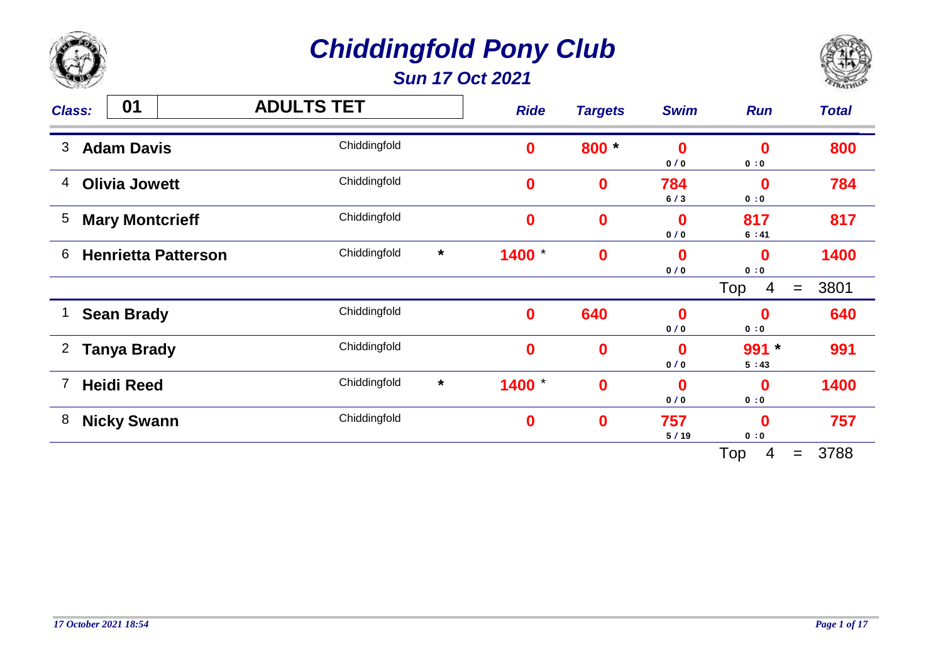

*Sun 17 Oct 2021*



| <b>Class:</b>  | 01                         | <b>ADULTS TET</b> |         | <b>Ride</b>      | <b>Targets</b>   | <b>Swim</b>     | <b>Run</b>         | <b>Total</b>              |
|----------------|----------------------------|-------------------|---------|------------------|------------------|-----------------|--------------------|---------------------------|
| 3              | <b>Adam Davis</b>          | Chiddingfold      |         | $\bf{0}$         | 800 *            | $\bf{0}$<br>0/0 | $\mathbf 0$<br>0:0 | 800                       |
| 4              | <b>Olivia Jowett</b>       | Chiddingfold      |         | $\bf{0}$         | $\boldsymbol{0}$ | 784<br>6/3      | $\mathbf 0$<br>0:0 | 784                       |
| 5              | <b>Mary Montcrieff</b>     | Chiddingfold      |         | $\bf{0}$         | $\bf{0}$         | $\bf{0}$<br>0/0 | 817<br>6:41        | 817                       |
| 6              | <b>Henrietta Patterson</b> | Chiddingfold      | $\star$ | 1400             | $\bf{0}$         | 0<br>0/0        | $\bf{0}$<br>0:0    | 1400                      |
|                |                            |                   |         |                  |                  |                 | Top<br>4           | 3801<br>$\!\!\!=\!\!\!\!$ |
| 1              | <b>Sean Brady</b>          | Chiddingfold      |         | $\bf{0}$         | 640              | $\bf{0}$<br>0/0 | $\mathbf 0$<br>0:0 | 640                       |
| $\overline{2}$ | <b>Tanya Brady</b>         | Chiddingfold      |         | $\bf{0}$         | $\boldsymbol{0}$ | 0<br>0/0        | $991 *$<br>5:43    | 991                       |
| 7              | <b>Heidi Reed</b>          | Chiddingfold      | $\star$ | 1400             | $\bf{0}$         | $\bf{0}$<br>0/0 | $\bf{0}$<br>0:0    | 1400                      |
| 8              | <b>Nicky Swann</b>         | Chiddingfold      |         | $\boldsymbol{0}$ | $\boldsymbol{0}$ | 757<br>5/19     | $\bf{0}$<br>0:0    | 757                       |
|                |                            |                   |         |                  |                  |                 | Top<br>4           | 3788<br>$=$               |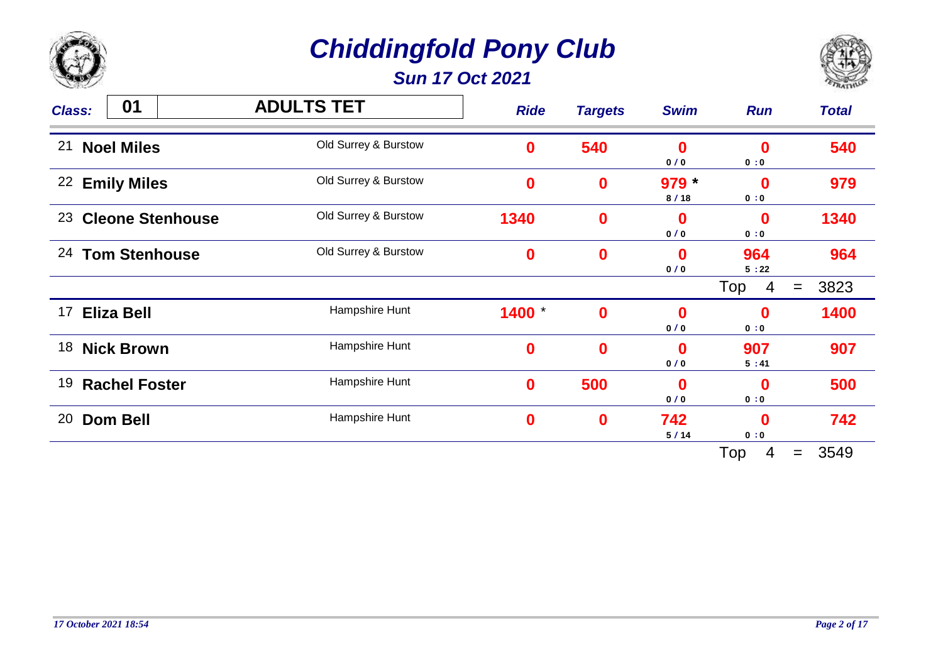

*Sun 17 Oct 2021*



| <b>Class:</b> | 01                      | <b>ADULTS TET</b>    | <b>Ride</b> | <b>Targets</b> | <b>Swim</b>     | <b>Run</b>              | <b>Total</b> |
|---------------|-------------------------|----------------------|-------------|----------------|-----------------|-------------------------|--------------|
| 21            | <b>Noel Miles</b>       | Old Surrey & Burstow | $\bf{0}$    | 540            | 0<br>0/0        | $\boldsymbol{0}$<br>0:0 | 540          |
| 22            | <b>Emily Miles</b>      | Old Surrey & Burstow | $\bf{0}$    | $\mathbf 0$    | $979 *$<br>8/18 | $\mathbf 0$<br>0:0      | 979          |
| 23            | <b>Cleone Stenhouse</b> | Old Surrey & Burstow | 1340        | $\bf{0}$       | 0<br>0/0        | $\bf{0}$<br>0:0         | 1340         |
| 24            | <b>Tom Stenhouse</b>    | Old Surrey & Burstow | $\mathbf 0$ | $\bf{0}$       | 0<br>0/0        | 964<br>5:22             | 964          |
|               |                         |                      |             |                |                 | Top<br>4                | 3823<br>$=$  |
| 17            | Eliza Bell              | Hampshire Hunt       | 1400        | $\mathbf 0$    | 0<br>0/0        | $\mathbf 0$<br>0:0      | 1400         |
| 18            | <b>Nick Brown</b>       | Hampshire Hunt       | $\bf{0}$    | $\bf{0}$       | 0<br>0/0        | 907<br>5:41             | 907          |
| 19            | <b>Rachel Foster</b>    | Hampshire Hunt       | $\bf{0}$    | 500            | 0<br>0/0        | 0<br>0:0                | 500          |
| 20            | <b>Dom Bell</b>         | Hampshire Hunt       | $\bf{0}$    | $\bf{0}$       | 742<br>5/14     | $\bf{0}$<br>0:0         | 742          |
|               |                         |                      |             |                |                 | Top<br>4                | 3549<br>$=$  |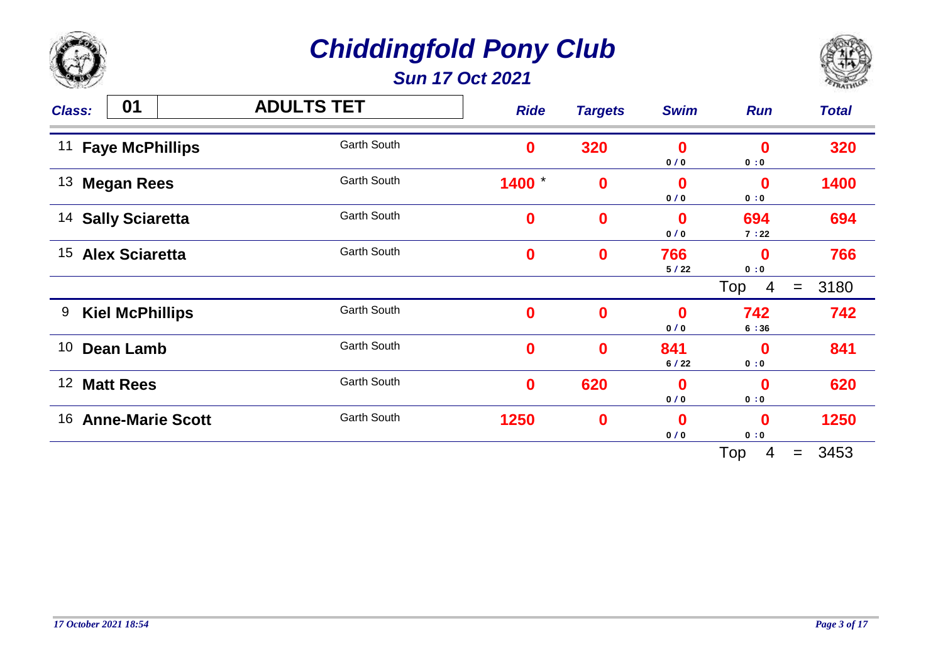

*Sun 17 Oct 2021*



| <b>Class:</b>   | 01                      | <b>ADULTS TET</b>  | <b>Ride</b>      | <b>Targets</b>   | <b>Swim</b> | <b>Run</b>         | <b>Total</b> |
|-----------------|-------------------------|--------------------|------------------|------------------|-------------|--------------------|--------------|
| 11              | <b>Faye McPhillips</b>  | <b>Garth South</b> | $\boldsymbol{0}$ | 320              | 0<br>0/0    | $\mathbf 0$<br>0:0 | 320          |
| 13              | <b>Megan Rees</b>       | <b>Garth South</b> | 1400             | $\boldsymbol{0}$ | 0<br>0/0    | $\mathbf 0$<br>0:0 | 1400         |
| 14              | <b>Sally Sciaretta</b>  | <b>Garth South</b> | $\boldsymbol{0}$ | $\boldsymbol{0}$ | 0<br>0/0    | 694<br>7:22        | 694          |
| 15              | <b>Alex Sciaretta</b>   | <b>Garth South</b> | $\bf{0}$         | $\boldsymbol{0}$ | 766<br>5/22 | $\bf{0}$<br>0:0    | 766          |
|                 |                         |                    |                  |                  |             | Top<br>4           | 3180<br>$=$  |
| 9               | <b>Kiel McPhillips</b>  | <b>Garth South</b> | $\bf{0}$         | $\mathbf 0$      | 0<br>0/0    | 742<br>6:36        | 742          |
| 10              | <b>Dean Lamb</b>        | <b>Garth South</b> | $\bf{0}$         | $\boldsymbol{0}$ | 841<br>6/22 | $\mathbf 0$<br>0:0 | 841          |
| 12 <sup>2</sup> | <b>Matt Rees</b>        | <b>Garth South</b> | $\bf{0}$         | 620              | 0<br>0/0    | $\bf{0}$<br>0:0    | 620          |
| 16              | <b>Anne-Marie Scott</b> | <b>Garth South</b> | 1250             | $\bf{0}$         | 0<br>0/0    | $\mathbf 0$<br>0:0 | 1250         |
|                 |                         |                    |                  |                  |             | Top<br>4           | 3453<br>$=$  |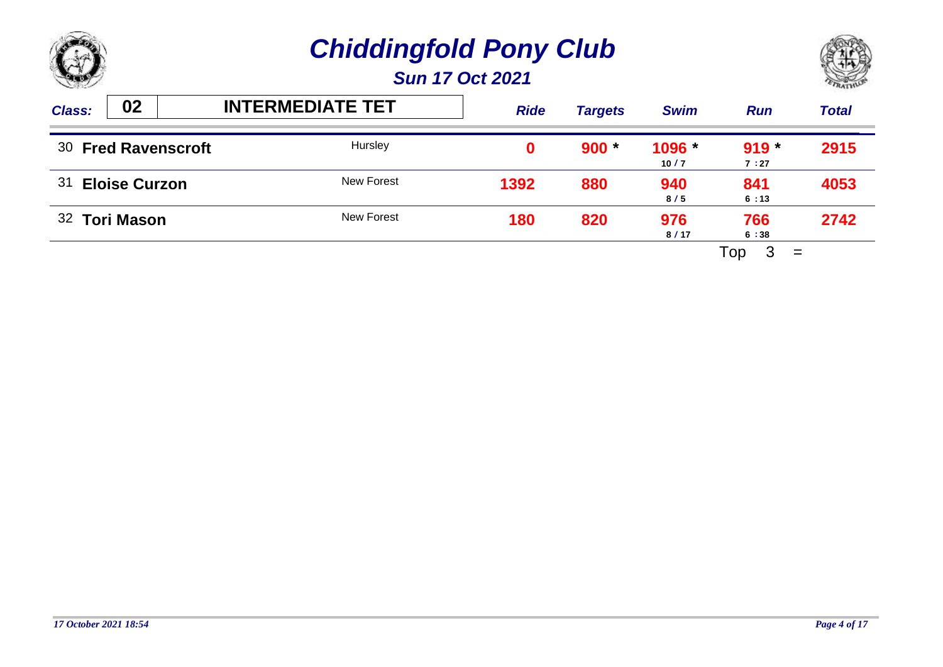



| <b>Class:</b> | 02                   | <b>INTERMEDIATE TET</b> | <b>Ride</b> | <b>Targets</b> | <b>Swim</b>      | <b>Run</b>      | <b>Total</b> |
|---------------|----------------------|-------------------------|-------------|----------------|------------------|-----------------|--------------|
|               | 30 Fred Ravenscroft  | Hursley                 |             | $900 *$        | $1096 *$<br>10/7 | $919 *$<br>7:27 | 2915         |
| 31            | <b>Eloise Curzon</b> | New Forest              | 1392        | 880            | 940<br>8/5       | 841<br>6:13     | 4053         |
|               | 32 Tori Mason        | New Forest              | 180         | 820            | 976<br>8/17      | 766<br>6:38     | 2742         |
|               |                      |                         |             |                |                  | Top<br>$=$      |              |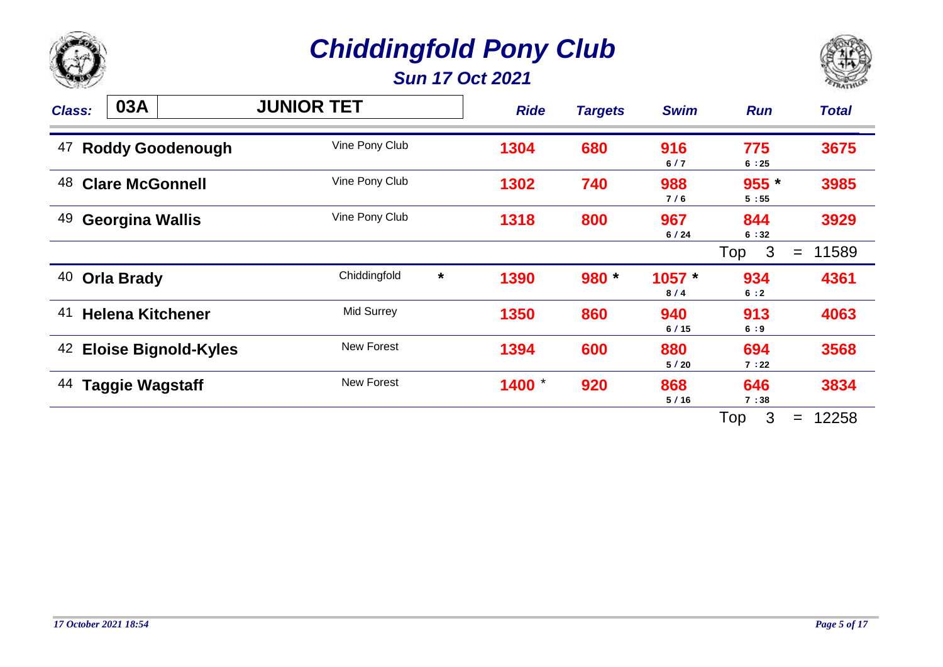

*Sun 17 Oct 2021*



| <b>Class:</b> | 03A                         | <b>JUNIOR TET</b>       | <b>Ride</b> | <b>Targets</b> | <b>Swim</b>     | <b>Run</b>      | <b>Total</b> |
|---------------|-----------------------------|-------------------------|-------------|----------------|-----------------|-----------------|--------------|
| 47            | <b>Roddy Goodenough</b>     | Vine Pony Club          | 1304        | 680            | 916<br>6/7      | 775<br>6:25     | 3675         |
| 48            | <b>Clare McGonnell</b>      | Vine Pony Club          | 1302        | 740            | 988<br>7/6      | $955 *$<br>5:55 | 3985         |
| 49            | <b>Georgina Wallis</b>      | Vine Pony Club          | 1318        | 800            | 967<br>6/24     | 844<br>6:32     | 3929         |
|               |                             |                         |             |                |                 | 3<br>Top        | 11589<br>$=$ |
| 40            | <b>Orla Brady</b>           | Chiddingfold<br>$\star$ | 1390        | 980 *          | $1057 *$<br>8/4 | 934<br>6:2      | 4361         |
| 41            | <b>Helena Kitchener</b>     | Mid Surrey              | 1350        | 860            | 940<br>6/15     | 913<br>6:9      | 4063         |
| 42            | <b>Eloise Bignold-Kyles</b> | <b>New Forest</b>       | 1394        | 600            | 880<br>5/20     | 694<br>7:22     | 3568         |
| 44            | <b>Taggie Wagstaff</b>      | New Forest              | 1400        | 920            | 868<br>5/16     | 646<br>7:38     | 3834         |
|               |                             |                         |             |                |                 | 3<br>Top        | 12258<br>$=$ |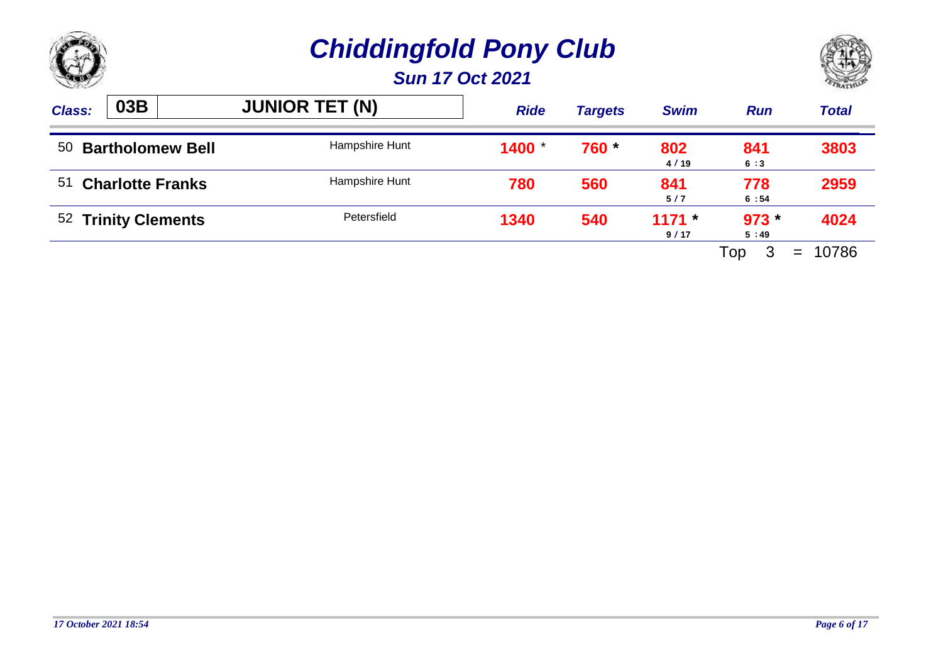



| <b>Class:</b> | 03B                     | <b>JUNIOR TET (N)</b> | <b>Ride</b> | <b>Targets</b> | <b>Swim</b>     | <b>Run</b>      | <b>Total</b> |
|---------------|-------------------------|-----------------------|-------------|----------------|-----------------|-----------------|--------------|
| 50            | <b>Bartholomew Bell</b> | Hampshire Hunt        | 1400        | 760 *          | 802<br>4/19     | 841<br>6:3      | 3803         |
|               | 51 Charlotte Franks     | Hampshire Hunt        | 780         | 560            | 841<br>5/7      | 778<br>6:54     | 2959         |
|               | 52 Trinity Clements     | Petersfield           | 1340        | 540            | $1171*$<br>9/17 | $973 *$<br>5:49 | 4024         |
|               |                         |                       |             |                |                 | Top<br>$=$      | 10786        |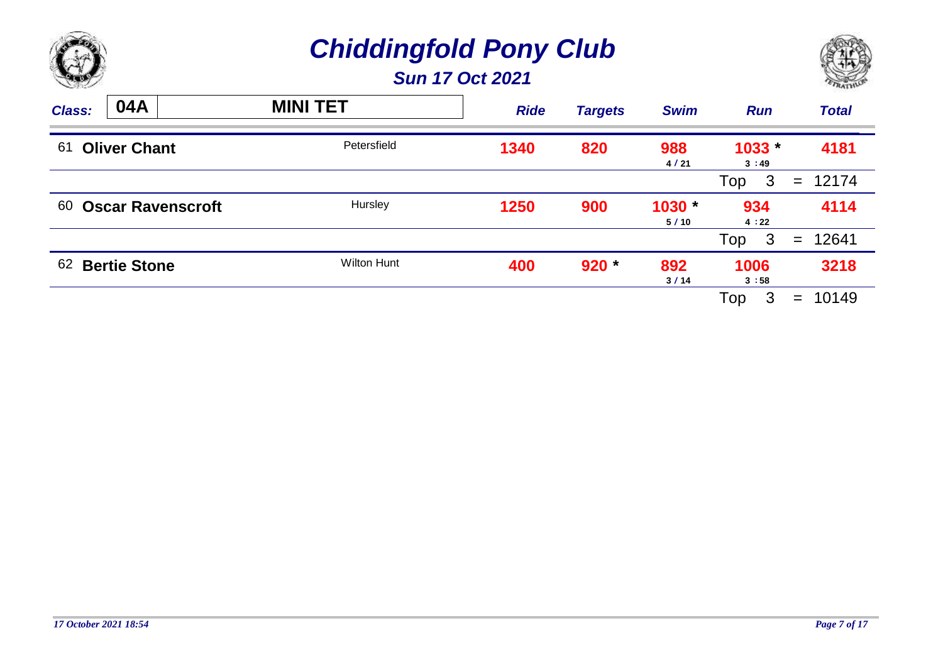



| <b>Class:</b> | 04A                      | <b>MINI TET</b>    | <b>Ride</b> | <b>Targets</b> | <b>Swim</b>    | <b>Run</b>          | <b>Total</b> |
|---------------|--------------------------|--------------------|-------------|----------------|----------------|---------------------|--------------|
| 61            | <b>Oliver Chant</b>      | Petersfield        | 1340        | 820            | 988<br>4/21    | $1033 -$<br>3:49    | 4181         |
|               |                          |                    |             |                |                | Top<br>$\mathbf{3}$ | $= 12174$    |
| 60            | <b>Oscar Ravenscroft</b> | Hursley            | 1250        | 900            | 1030 *<br>5/10 | 934<br>4:22         | 4114         |
|               |                          |                    |             |                |                | $\mathbf{3}$<br>Top | 12641<br>$=$ |
| 62            | <b>Bertie Stone</b>      | <b>Wilton Hunt</b> | 400         | $920 *$        | 892<br>3/14    | 1006<br>3:58        | 3218         |
|               |                          |                    |             |                |                | Top<br>3            | 10149<br>$=$ |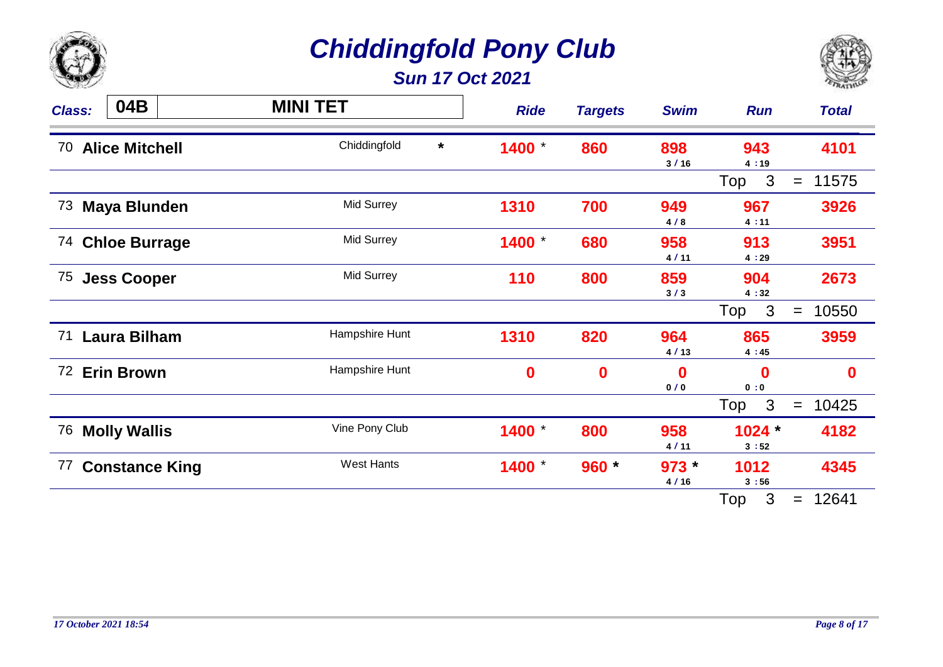

*Sun 17 Oct 2021*



| <b>Class:</b> | 04B                   | <b>MINI TET</b>         | <b>Ride</b> | <b>Targets</b> | <b>Swim</b>        | <b>Run</b>          | <b>Total</b> |
|---------------|-----------------------|-------------------------|-------------|----------------|--------------------|---------------------|--------------|
| 70            | <b>Alice Mitchell</b> | Chiddingfold<br>$\star$ | 1400        | 860            | 898<br>3/16        | 943<br>4:19         | 4101         |
|               |                       |                         |             |                |                    | $\mathbf{3}$<br>Top | 11575<br>$=$ |
| 73            | <b>Maya Blunden</b>   | <b>Mid Surrey</b>       | 1310        | 700            | 949<br>4/8         | 967<br>4:11         | 3926         |
| 74            | <b>Chloe Burrage</b>  | <b>Mid Surrey</b>       | 1400        | 680            | 958<br>4/11        | 913<br>4:29         | 3951         |
| 75            | <b>Jess Cooper</b>    | <b>Mid Surrey</b>       | 110         | 800            | 859<br>3/3         | 904<br>4:32         | 2673         |
|               |                       |                         |             |                |                    | $\mathbf{3}$<br>Top | 10550<br>$=$ |
| 71            | <b>Laura Bilham</b>   | Hampshire Hunt          | 1310        | 820            | 964<br>4/13        | 865<br>4:45         | 3959         |
| 72            | <b>Erin Brown</b>     | Hampshire Hunt          | $\mathbf 0$ | $\mathbf 0$    | $\mathbf 0$<br>0/0 | $\bf{0}$<br>0:0     | $\mathbf 0$  |
|               |                       |                         |             |                |                    | $\mathbf{3}$<br>Top | 10425<br>$=$ |
| 76            | <b>Molly Wallis</b>   | Vine Pony Club          | 1400        | 800            | 958<br>4/11        | $1024*$<br>3:52     | 4182         |
| 77            | <b>Constance King</b> | <b>West Hants</b>       | 1400        | 960 *          | $973 *$<br>4/16    | 1012<br>3:56        | 4345         |
|               |                       |                         |             |                |                    | 3<br>Top            | 12641<br>$=$ |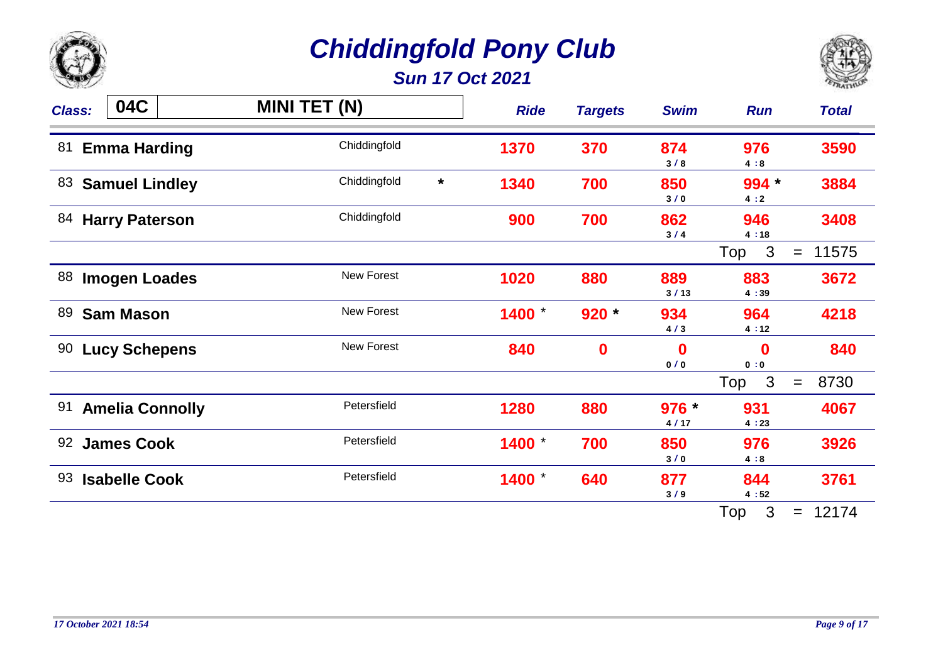

*Sun 17 Oct 2021*



| <b>Class:</b> | 04C                    | <b>MINI TET (N)</b>     | <b>Ride</b> | <b>Targets</b> | <b>Swim</b>     | <b>Run</b>            | <b>Total</b> |
|---------------|------------------------|-------------------------|-------------|----------------|-----------------|-----------------------|--------------|
| 81            | <b>Emma Harding</b>    | Chiddingfold            | 1370        | 370            | 874<br>3/8      | 976<br>4:8            | 3590         |
| 83            | <b>Samuel Lindley</b>  | Chiddingfold<br>$\star$ | 1340        | 700            | 850<br>3/0      | 994 *<br>4:2          | 3884         |
| 84            | <b>Harry Paterson</b>  | Chiddingfold            | 900         | 700            | 862<br>3/4      | 946<br>4:18           | 3408         |
|               |                        |                         |             |                |                 | $\mathbf{3}$<br>Top   | 11575<br>$=$ |
| 88            | <b>Imogen Loades</b>   | <b>New Forest</b>       | 1020        | 880            | 889<br>3/13     | 883<br>4:39           | 3672         |
| 89            | <b>Sam Mason</b>       | <b>New Forest</b>       | 1400        | $920 *$        | 934<br>4/3      | 964<br>4:12           | 4218         |
| 90            | <b>Lucy Schepens</b>   | <b>New Forest</b>       | 840         | $\bf{0}$       | 0<br>0/0        | $\bf{0}$<br>0:0       | 840          |
|               |                        |                         |             |                |                 | $\overline{3}$<br>Top | 8730<br>$=$  |
| 91            | <b>Amelia Connolly</b> | Petersfield             | 1280        | 880            | $976 *$<br>4/17 | 931<br>4:23           | 4067         |
| 92            | <b>James Cook</b>      | Petersfield             | 1400        | 700            | 850<br>3/0      | 976<br>4:8            | 3926         |
| 93            | <b>Isabelle Cook</b>   | Petersfield             | 1400        | 640            | 877<br>3/9      | 844<br>4:52           | 3761         |
|               |                        |                         |             |                |                 | 3<br>Top              | 12174<br>$=$ |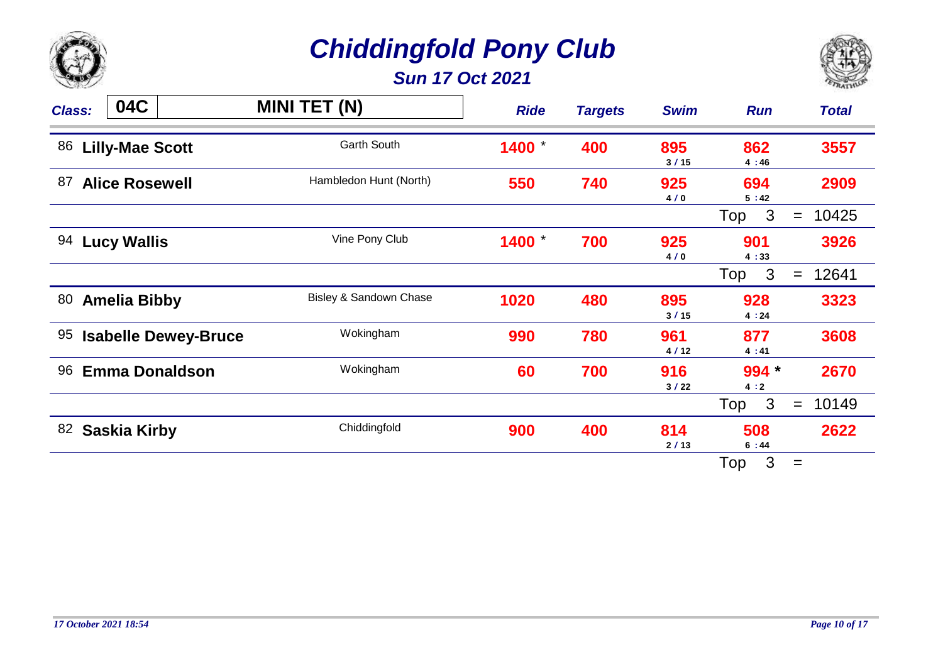

*Sun 17 Oct 2021*



| <b>Class:</b> | 04C                    |                             | <b>MINI TET (N)</b>    | <b>Ride</b> | <b>Targets</b> | <b>Swim</b> | <b>Run</b>          | <b>Total</b> |
|---------------|------------------------|-----------------------------|------------------------|-------------|----------------|-------------|---------------------|--------------|
| 86            | <b>Lilly-Mae Scott</b> |                             | <b>Garth South</b>     | 1400        | 400            | 895<br>3/15 | 862<br>4:46         | 3557         |
| 87            | <b>Alice Rosewell</b>  |                             | Hambledon Hunt (North) | 550         | 740            | 925<br>4/0  | 694<br>5:42         | 2909         |
|               |                        |                             |                        |             |                |             | 3<br>Top            | 10425<br>$=$ |
| 94            | <b>Lucy Wallis</b>     |                             | Vine Pony Club         | 1400        | 700            | 925<br>4/0  | 901<br>4:33         | 3926         |
|               |                        |                             |                        |             |                |             | Top<br>3            | 12641<br>$=$ |
| 80            | <b>Amelia Bibby</b>    |                             | Bisley & Sandown Chase | 1020        | 480            | 895<br>3/15 | 928<br>4:24         | 3323         |
| 95            |                        | <b>Isabelle Dewey-Bruce</b> | Wokingham              | 990         | 780            | 961<br>4/12 | 877<br>4:41         | 3608         |
| 96            |                        | <b>Emma Donaldson</b>       | Wokingham              | 60          | 700            | 916<br>3/22 | 994 *<br>4:2        | 2670         |
|               |                        |                             |                        |             |                |             | $\mathbf{3}$<br>Top | 10149<br>$=$ |
| 82            | <b>Saskia Kirby</b>    |                             | Chiddingfold           | 900         | 400            | 814<br>2/13 | 508<br>6:44         | 2622         |
|               |                        |                             |                        |             |                |             | 3<br>Top            | $=$          |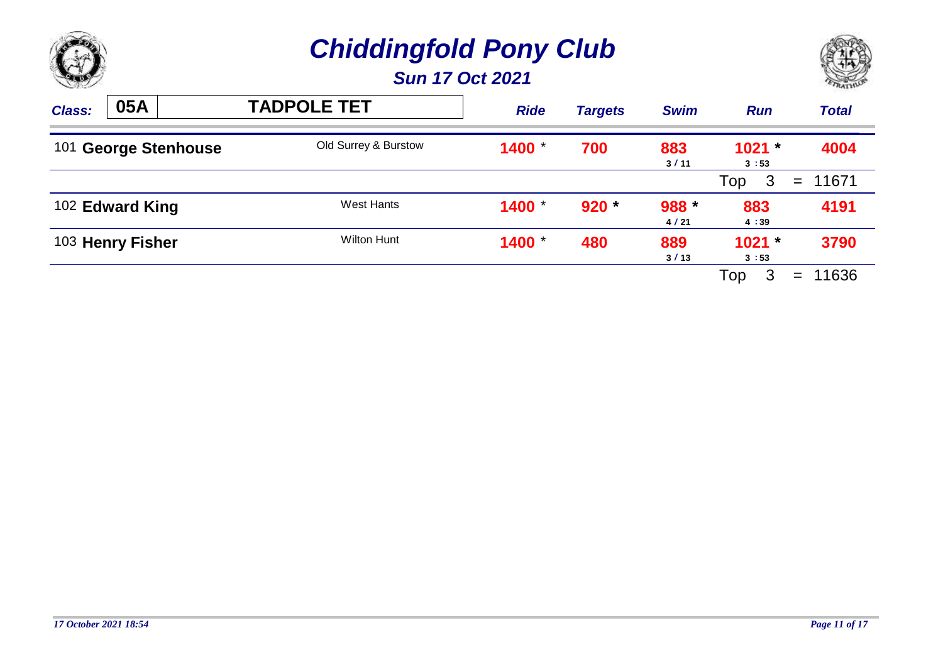



| <b>Class:</b> | 05A              |                      | <b>TADPOLE TET</b>   | <b>Ride</b> | <b>Targets</b> | <b>Swim</b>   | <b>Run</b>       | <b>Total</b> |
|---------------|------------------|----------------------|----------------------|-------------|----------------|---------------|------------------|--------------|
|               |                  | 101 George Stenhouse | Old Surrey & Burstow | 1400        | 700            | 883<br>3/11   | $1021 *$<br>3:53 | 4004         |
|               |                  |                      |                      |             |                |               | 3<br>Top         | 11671<br>$=$ |
|               | 102 Edward King  |                      | West Hants           | 1400        | $920 *$        | 988 *<br>4/21 | 883<br>4:39      | 4191         |
|               | 103 Henry Fisher |                      | Wilton Hunt          | 1400        | 480            | 889<br>3/13   | $1021 -$<br>3:53 | 3790         |
|               |                  |                      |                      |             |                |               | 3<br>Top         | 11636<br>$=$ |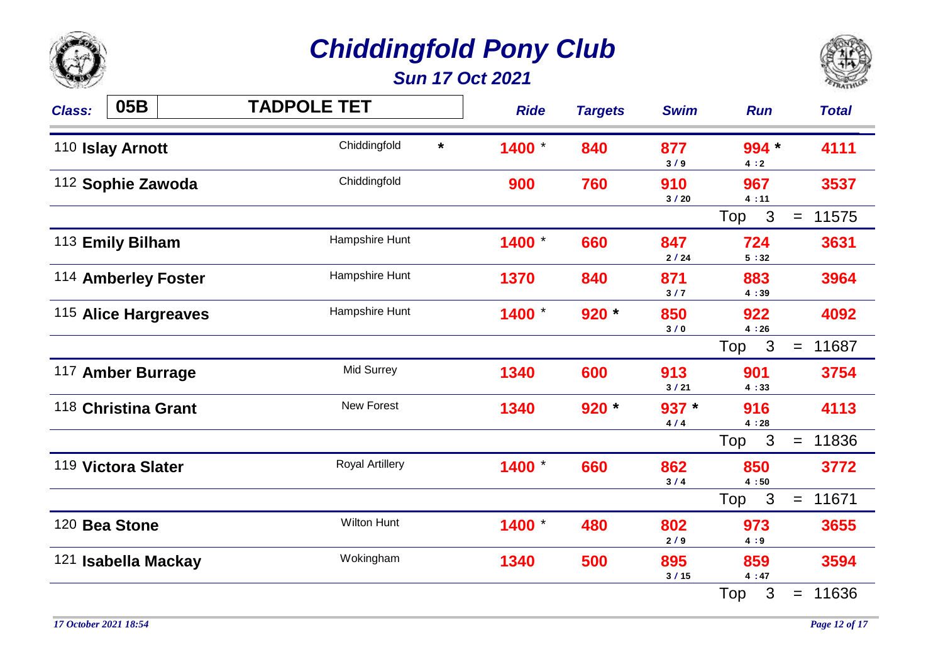

*Sun 17 Oct 2021*



| <b>Class:</b> | 05B                  | <b>TADPOLE TET</b>      | <b>Ride</b> | <b>Targets</b> | <b>Swim</b>    | <b>Run</b>       | <b>Total</b>      |
|---------------|----------------------|-------------------------|-------------|----------------|----------------|------------------|-------------------|
|               | 110 Islay Arnott     | Chiddingfold<br>$\star$ | 1400 *      | 840            | 877<br>3/9     | 994 *<br>4:2     | 4111              |
|               | 112 Sophie Zawoda    | Chiddingfold            | 900         | 760            | 910<br>3/20    | 967<br>4:11      | 3537              |
|               |                      |                         |             |                |                | 3<br>Top         | 11575<br>$=$      |
|               | 113 Emily Bilham     | Hampshire Hunt          | 1400 *      | 660            | 847<br>2/24    | 724<br>5:32      | 3631              |
|               | 114 Amberley Foster  | Hampshire Hunt          | 1370        | 840            | 871<br>3/7     | 883<br>4:39      | 3964              |
|               | 115 Alice Hargreaves | Hampshire Hunt          | 1400        | $920 *$        | 850<br>3/0     | 922<br>4:26      | 4092              |
|               |                      |                         |             |                |                | Top <sub>3</sub> | 11687<br>$=$      |
|               | 117 Amber Burrage    | <b>Mid Surrey</b>       | 1340        | 600            | 913<br>3/21    | 901<br>4:33      | 3754              |
|               | 118 Christina Grant  | <b>New Forest</b>       | 1340        | $920 *$        | $937 *$<br>4/4 | 916<br>4:28      | 4113              |
|               |                      |                         |             |                |                | Top <sub>3</sub> | 11836<br>$\equiv$ |
|               | 119 Victora Slater   | <b>Royal Artillery</b>  | 1400        | 660            | 862<br>3/4     | 850<br>4:50      | 3772              |
|               |                      |                         |             |                |                | Top<br>3         | 11671<br>$=$      |
|               | 120 Bea Stone        | <b>Wilton Hunt</b>      | 1400 *      | 480            | 802<br>2/9     | 973<br>4:9       | 3655              |
|               | 121 Isabella Mackay  | Wokingham               | 1340        | 500            | 895<br>3/15    | 859<br>4:47      | 3594              |
|               |                      |                         |             |                |                | 3<br>Top         | 11636<br>$=$      |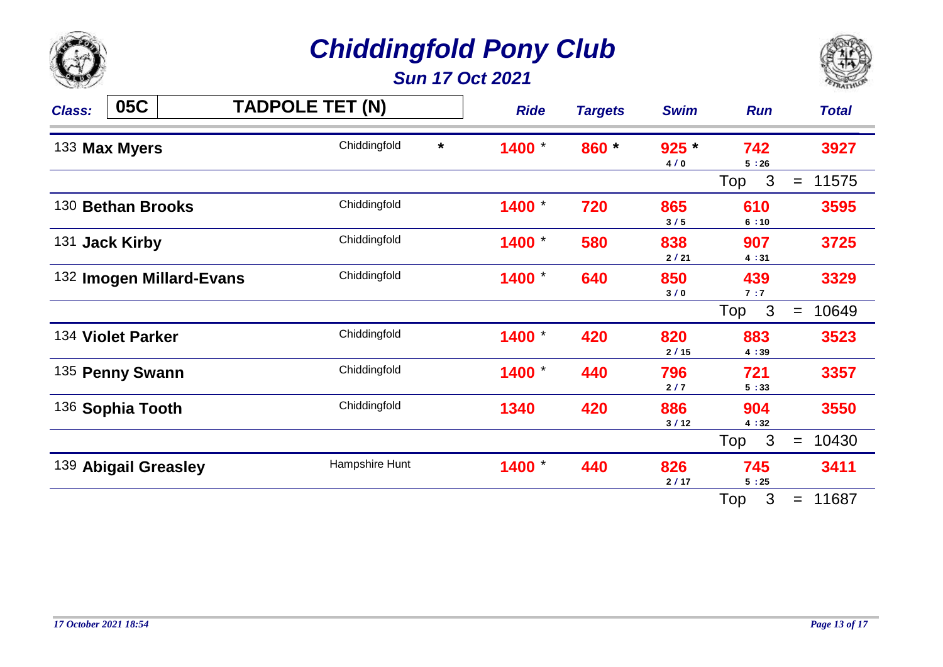

*Sun 17 Oct 2021*



| <b>Class:</b>                            | 05C               |              | <b>TADPOLE TET (N)</b> |       | <b>Ride</b>    | <b>Targets</b> | <b>Swim</b> | <b>Run</b>          | <b>Total</b> |
|------------------------------------------|-------------------|--------------|------------------------|-------|----------------|----------------|-------------|---------------------|--------------|
| Chiddingfold<br>$\star$<br>133 Max Myers |                   |              | 1400                   | 860 * | $925 *$<br>4/0 | 742<br>5:26    | 3927        |                     |              |
|                                          |                   |              |                        |       |                |                |             | $\mathbf{3}$<br>Top | 11575<br>$=$ |
| 130 Bethan Brooks                        |                   |              | Chiddingfold           |       | 1400           | 720            | 865<br>3/5  | 610<br>6:10         | 3595         |
|                                          | 131 Jack Kirby    |              | Chiddingfold           |       | 1400           | 580            | 838<br>2/21 | 907<br>4:31         | 3725         |
| 132 Imogen Millard-Evans                 |                   | Chiddingfold |                        | 1400  | 640            | 850<br>3/0     | 439<br>7:7  | 3329                |              |
|                                          |                   |              |                        |       |                |                |             | $\mathbf{3}$<br>Top | 10649<br>$=$ |
|                                          | 134 Violet Parker |              | Chiddingfold           |       | 1400           | 420            | 820<br>2/15 | 883<br>4:39         | 3523         |
| 135 Penny Swann                          |                   | Chiddingfold |                        | 1400  | 440            | 796<br>2/7     | 721<br>5:33 | 3357                |              |
| 136 Sophia Tooth                         |                   | Chiddingfold |                        | 1340  | 420            | 886<br>3/12    | 904<br>4:32 | 3550                |              |
|                                          |                   |              |                        |       |                |                |             | $\mathbf{3}$<br>Top | 10430<br>$=$ |
| 139 Abigail Greasley                     |                   |              | Hampshire Hunt         |       | 1400           | 440            | 826<br>2/17 | 745<br>5:25         | 3411         |
|                                          |                   |              |                        |       |                |                |             | 3<br>Top            | 11687<br>$=$ |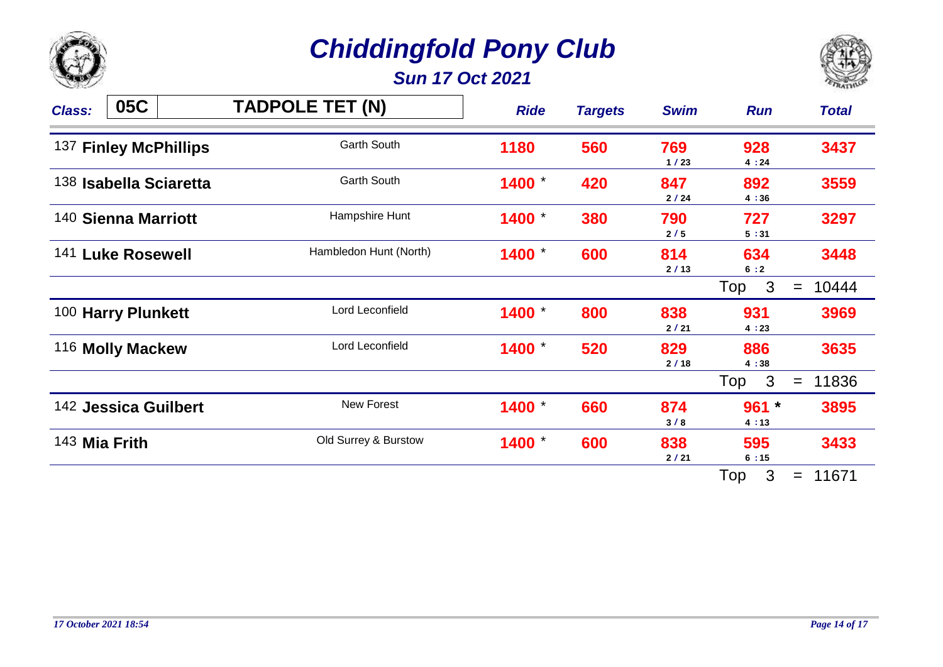

*Sun 17 Oct 2021*



| 05C<br><b>Class:</b>   | <b>TADPOLE TET (N)</b> | <b>Ride</b> | <b>Targets</b> | <b>Swim</b> | <b>Run</b>                        | <b>Total</b>         |
|------------------------|------------------------|-------------|----------------|-------------|-----------------------------------|----------------------|
| 137 Finley McPhillips  | Garth South            | 1180        | 560            | 769<br>1/23 | 928<br>4:24                       | 3437                 |
| 138 Isabella Sciaretta | <b>Garth South</b>     | 1400        | 420            | 847<br>2/24 | 892<br>4:36                       | 3559                 |
| 140 Sienna Marriott    | Hampshire Hunt         | 1400        | 380            | 790<br>2/5  | 727<br>5:31                       | 3297                 |
| 141 Luke Rosewell      | Hambledon Hunt (North) | 1400        | 600            | 814<br>2/13 | 634<br>6:2<br>$\mathbf{3}$<br>Top | 3448<br>10444<br>$=$ |
| 100 Harry Plunkett     | Lord Leconfield        | 1400        | 800            | 838<br>2/21 | 931<br>4:23                       | 3969                 |
| 116 Molly Mackew       | Lord Leconfield        | 1400        | 520            | 829<br>2/18 | 886<br>4:38                       | 3635                 |
|                        |                        |             |                |             | $\mathbf{3}$<br>Top               | 11836<br>$=$         |
| 142 Jessica Guilbert   | New Forest             | 1400        | 660            | 874<br>3/8  | $961 *$<br>4:13                   | 3895                 |
| 143 Mia Frith          | Old Surrey & Burstow   | 1400        | 600            | 838<br>2/21 | 595<br>6:15                       | 3433                 |
|                        |                        |             |                |             | 3<br>Top                          | 11671<br>$=$         |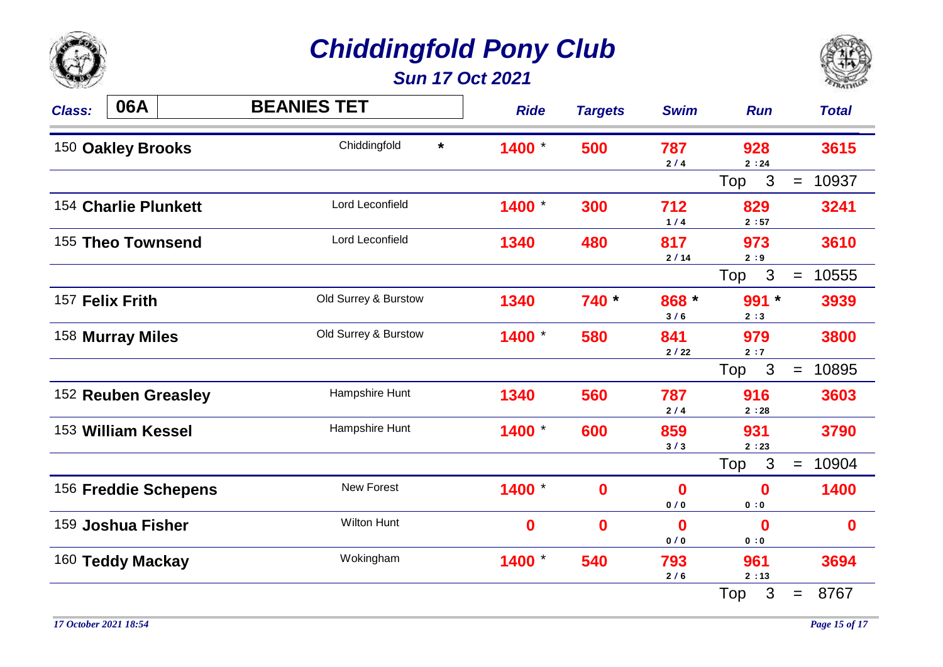

*Sun 17 Oct 2021*



| <b>Class:</b>                                | 06A                  | <b>BEANIES TET</b>   | <b>Ride</b> | <b>Targets</b> | <b>Swim</b>   | <b>Run</b>              | <b>Total</b> |
|----------------------------------------------|----------------------|----------------------|-------------|----------------|---------------|-------------------------|--------------|
| Chiddingfold<br>$\star$<br>150 Oakley Brooks |                      | 1400                 | 500         | 787<br>2/4     | 928<br>2:24   | 3615                    |              |
|                                              |                      |                      |             |                |               | 3<br>Top                | 10937<br>$=$ |
|                                              | 154 Charlie Plunkett | Lord Leconfield      | 1400        | 300            | 712<br>$1/4$  | 829<br>2:57             | 3241         |
| 155 Theo Townsend                            |                      | Lord Leconfield      | 1340        | 480            | 817<br>2/14   | 973<br>2:9              | 3610         |
|                                              |                      |                      |             |                |               | $\mathbf{3}$<br>Top     | 10555<br>$=$ |
|                                              | 157 Felix Frith      | Old Surrey & Burstow | 1340        | 740 *          | 868 *<br>3/6  | $991 *$<br>2:3          | 3939         |
|                                              | 158 Murray Miles     | Old Surrey & Burstow | 1400        | 580            | 841<br>$2/22$ | 979<br>2:7              | 3800         |
|                                              |                      |                      |             |                |               | Top<br>$\mathbf{3}$     | 10895<br>$=$ |
|                                              | 152 Reuben Greasley  | Hampshire Hunt       | 1340        | 560            | 787<br>2/4    | 916<br>2:28             | 3603         |
| 153 William Kessel                           |                      | Hampshire Hunt       | 1400        | 600            | 859<br>3/3    | 931<br>2:23             | 3790         |
|                                              |                      |                      |             |                |               | 3<br>Top                | 10904<br>$=$ |
|                                              | 156 Freddie Schepens | New Forest           | 1400        | $\mathbf 0$    | 0<br>0/0      | $\bf{0}$<br>0:0         | 1400         |
|                                              | 159 Joshua Fisher    | <b>Wilton Hunt</b>   | $\bf{0}$    | $\bf{0}$       | 0<br>0/0      | $\boldsymbol{0}$<br>0:0 | $\mathbf 0$  |
|                                              | 160 Teddy Mackay     | Wokingham            | 1400        | 540            | 793<br>2/6    | 961<br>2:13             | 3694         |
|                                              |                      |                      |             |                |               | 3<br>Top                | 8767<br>$=$  |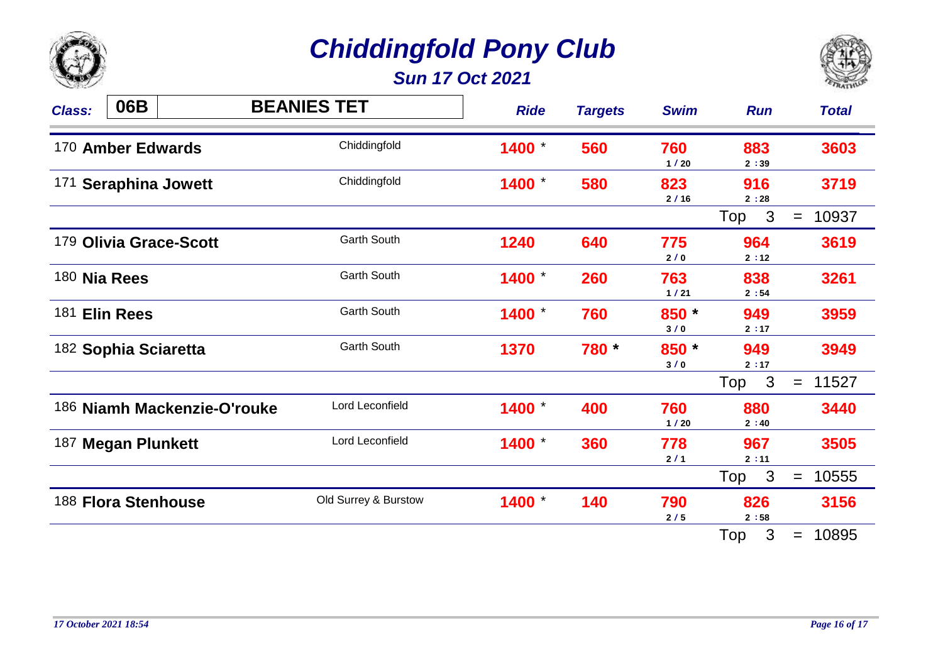

*Sun 17 Oct 2021*



| 06B<br><b>Class:</b>              | <b>BEANIES TET</b>   | <b>Ride</b> | <b>Targets</b> | <b>Swim</b>  | <b>Run</b>          | <b>Total</b> |
|-----------------------------------|----------------------|-------------|----------------|--------------|---------------------|--------------|
| Chiddingfold<br>170 Amber Edwards |                      | 1400        | 560            | 760<br>1/20  | 883<br>2:39         | 3603         |
| 171 Seraphina Jowett              | Chiddingfold         | 1400        | 580            | 823<br>2/16  | 916<br>2:28         | 3719         |
|                                   |                      |             |                |              | $\mathbf{3}$<br>Top | 10937<br>$=$ |
| 179 Olivia Grace-Scott            | <b>Garth South</b>   | 1240        | 640            | 775<br>2/0   | 964<br>2:12         | 3619         |
| 180 Nia Rees                      | <b>Garth South</b>   | 1400        | 260            | 763<br>1/21  | 838<br>2:54         | 3261         |
| 181 Elin Rees                     | <b>Garth South</b>   | 1400        | 760            | 850 *<br>3/0 | 949<br>2:17         | 3959         |
| 182 Sophia Sciaretta              | <b>Garth South</b>   | 1370        | 780 *          | 850 *<br>3/0 | 949<br>2:17         | 3949         |
|                                   |                      |             |                |              | $\mathbf{3}$<br>Top | 11527<br>$=$ |
| 186 Niamh Mackenzie-O'rouke       | Lord Leconfield      | 1400        | 400            | 760<br>1/20  | 880<br>2:40         | 3440         |
| 187 Megan Plunkett                | Lord Leconfield      | 1400        | 360            | 778<br>2/1   | 967<br>2:11         | 3505         |
|                                   |                      |             |                |              | $\mathbf{3}$<br>Top | 10555<br>$=$ |
| 188 Flora Stenhouse               | Old Surrey & Burstow | 1400 *      | 140            | 790<br>2/5   | 826<br>2:58         | 3156         |
|                                   |                      |             |                |              | Top<br>3            | 10895<br>$=$ |